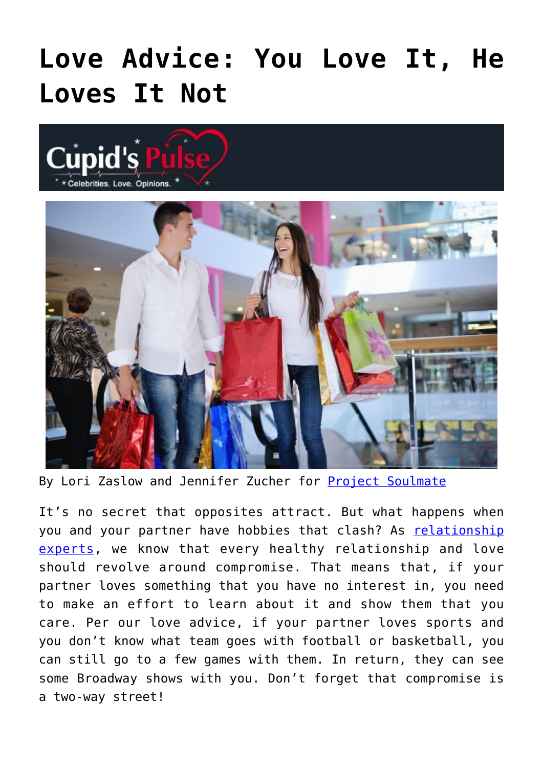## **[Love Advice: You Love It, He](https://cupidspulse.com/93176/love-advice-you-love-it-he-loves-it-not-project-soulmate/) [Loves It Not](https://cupidspulse.com/93176/love-advice-you-love-it-he-loves-it-not-project-soulmate/)**





By Lori Zaslow and Jennifer Zucher for **Project Soulmate** 

It's no secret that opposites attract. But what happens when you and your partner have hobbies that clash? As [relationship](http://cupidspulse.com/relationship-experts/) [experts,](http://cupidspulse.com/relationship-experts/) we know that every healthy relationship and love should revolve around compromise. That means that, if your partner loves something that you have no interest in, you need to make an effort to learn about it and show them that you care. Per our love advice, if your partner loves sports and you don't know what team goes with football or basketball, you can still go to a few games with them. In return, they can see some Broadway shows with you. Don't forget that compromise is a two-way street!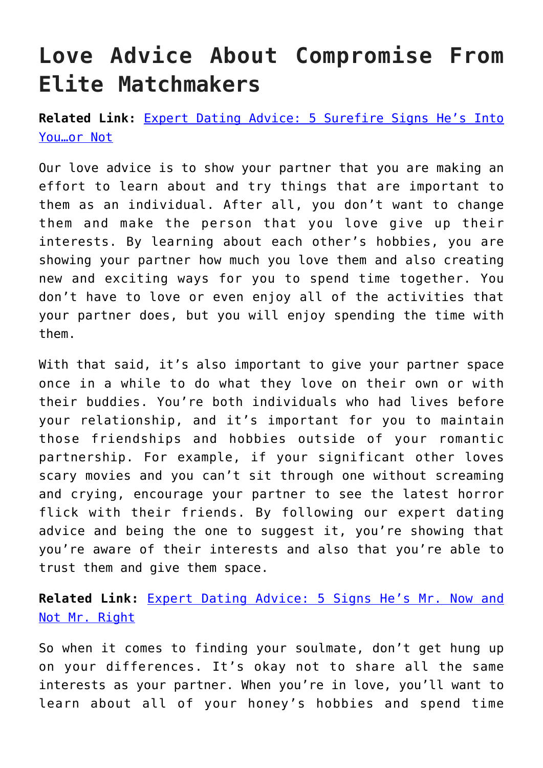## **Love Advice About Compromise From Elite Matchmakers**

**Related Link:** [Expert Dating Advice: 5 Surefire Signs He's Into](http://cupidspulse.com/90170/expert-dating-advice-signs-hes-into-you-or-not/) [You…or Not](http://cupidspulse.com/90170/expert-dating-advice-signs-hes-into-you-or-not/)

Our love advice is to show your partner that you are making an effort to learn about and try things that are important to them as an individual. After all, you don't want to change them and make the person that you love give up their interests. By learning about each other's hobbies, you are showing your partner how much you love them and also creating new and exciting ways for you to spend time together. You don't have to love or even enjoy all of the activities that your partner does, but you will enjoy spending the time with them.

With that said, it's also important to give your partner space once in a while to do what they love on their own or with their buddies. You're both individuals who had lives before your relationship, and it's important for you to maintain those friendships and hobbies outside of your romantic partnership. For example, if your significant other loves scary movies and you can't sit through one without screaming and crying, encourage your partner to see the latest horror flick with their friends. By following our expert dating advice and being the one to suggest it, you're showing that you're aware of their interests and also that you're able to trust them and give them space.

## **Related Link:** [Expert Dating Advice: 5 Signs He's Mr. Now and](http://cupidspulse.com/86628/expert-dating-advice-project-soulmate-mr-now/) [Not Mr. Right](http://cupidspulse.com/86628/expert-dating-advice-project-soulmate-mr-now/)

So when it comes to finding your soulmate, don't get hung up on your differences. It's okay not to share all the same interests as your partner. When you're in love, you'll want to learn about all of your honey's hobbies and spend time